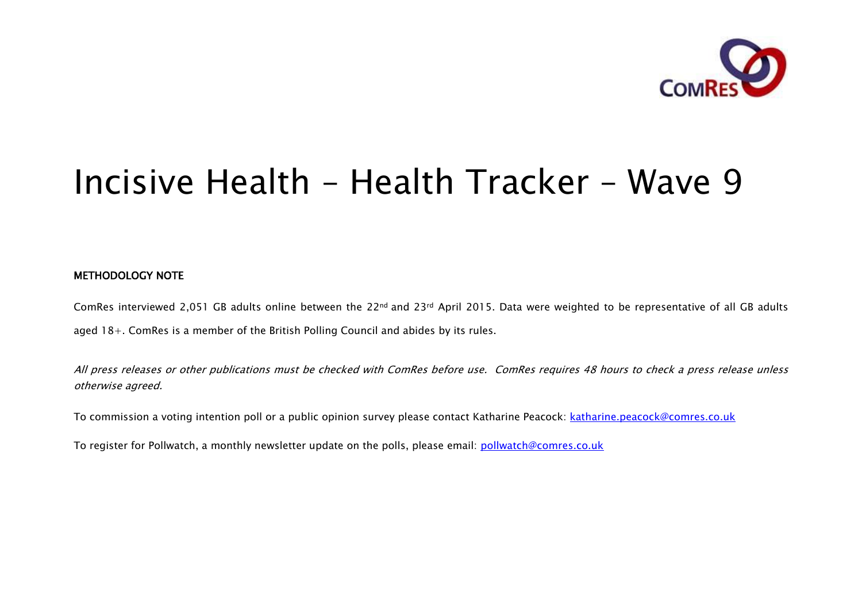

# Incisive Health – Health Tracker – Wave 9

### METHODOLOGY NOTE

ComRes interviewed 2,051 GB adults online between the 22nd and 23rd April 2015. Data were weighted to be representative of all GB adults aged 18+. ComRes is a member of the British Polling Council and abides by its rules.

All press releases or other publications must be checked with ComRes before use. ComRes requires 48 hours to check a press release unless otherwise agreed.

To commission a voting intention poll or a public opinion survey please contact Katharine Peacock: [katharine.peacock@comres.co.uk](mailto:katharine.peacock@comres.co.uk)

To register for Pollwatch, a monthly newsletter update on the polls, please email: [pollwatch@comres.co.uk](mailto:pollwatch@comres.co.uk)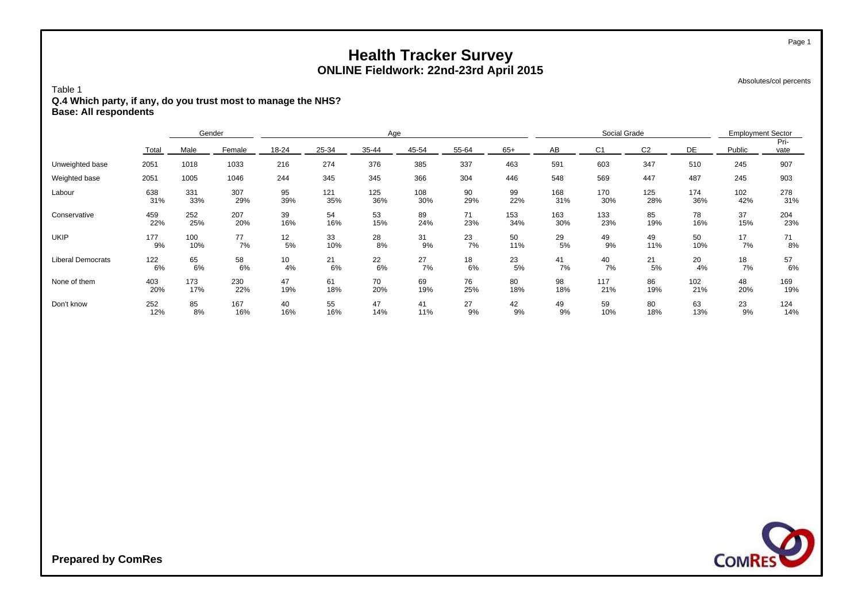Absolutes/col percents

Page 1

#### Table 1 **Q.4 Which party, if any, do you trust most to manage the NHS? Base: All respondents**

|                          |       | Gender |        | Age   |       |       |       |       | Social Grade |     |                |                | <b>Employment Sector</b> |        |              |
|--------------------------|-------|--------|--------|-------|-------|-------|-------|-------|--------------|-----|----------------|----------------|--------------------------|--------|--------------|
|                          | Total | Male   | Female | 18-24 | 25-34 | 35-44 | 45-54 | 55-64 | $65+$        | AB  | C <sub>1</sub> | C <sub>2</sub> | DE                       | Public | Pri-<br>vate |
| Unweighted base          | 2051  | 1018   | 1033   | 216   | 274   | 376   | 385   | 337   | 463          | 591 | 603            | 347            | 510                      | 245    | 907          |
| Weighted base            | 2051  | 1005   | 1046   | 244   | 345   | 345   | 366   | 304   | 446          | 548 | 569            | 447            | 487                      | 245    | 903          |
| Labour                   | 638   | 331    | 307    | 95    | 121   | 125   | 108   | 90    | 99           | 168 | 170            | 125            | 174                      | 102    | 278          |
|                          | 31%   | 33%    | 29%    | 39%   | 35%   | 36%   | 30%   | 29%   | 22%          | 31% | 30%            | 28%            | 36%                      | 42%    | 31%          |
| Conservative             | 459   | 252    | 207    | 39    | 54    | 53    | 89    | 71    | 153          | 163 | 133            | 85             | 78                       | 37     | 204          |
|                          | 22%   | 25%    | 20%    | 16%   | 16%   | 15%   | 24%   | 23%   | 34%          | 30% | 23%            | 19%            | 16%                      | 15%    | 23%          |
| <b>UKIP</b>              | 177   | 100    | 77     | 12    | 33    | 28    | 31    | 23    | 50           | 29  | 49             | 49             | 50                       | 17     | 71           |
|                          | 9%    | 10%    | 7%     | 5%    | 10%   | 8%    | 9%    | 7%    | 11%          | 5%  | 9%             | 11%            | 10%                      | 7%     | 8%           |
| <b>Liberal Democrats</b> | 122   | 65     | 58     | 10    | 21    | 22    | 27    | 18    | 23           | 41  | 40             | 21             | 20                       | 18     | 57           |
|                          | 6%    | 6%     | 6%     | 4%    | 6%    | 6%    | 7%    | 6%    | 5%           | 7%  | 7%             | 5%             | 4%                       | 7%     | 6%           |
| None of them             | 403   | 173    | 230    | 47    | 61    | 70    | 69    | 76    | 80           | 98  | 117            | 86             | 102                      | 48     | 169          |
|                          | 20%   | 17%    | 22%    | 19%   | 18%   | 20%   | 19%   | 25%   | 18%          | 18% | 21%            | 19%            | 21%                      | 20%    | 19%          |
| Don't know               | 252   | 85     | 167    | 40    | 55    | 47    | 41    | 27    | 42           | 49  | 59             | 80             | 63                       | 23     | 124          |
|                          | 12%   | 8%     | 16%    | 16%   | 16%   | 14%   | 11%   | 9%    | 9%           | 9%  | 10%            | 18%            | 13%                      | 9%     | 14%          |

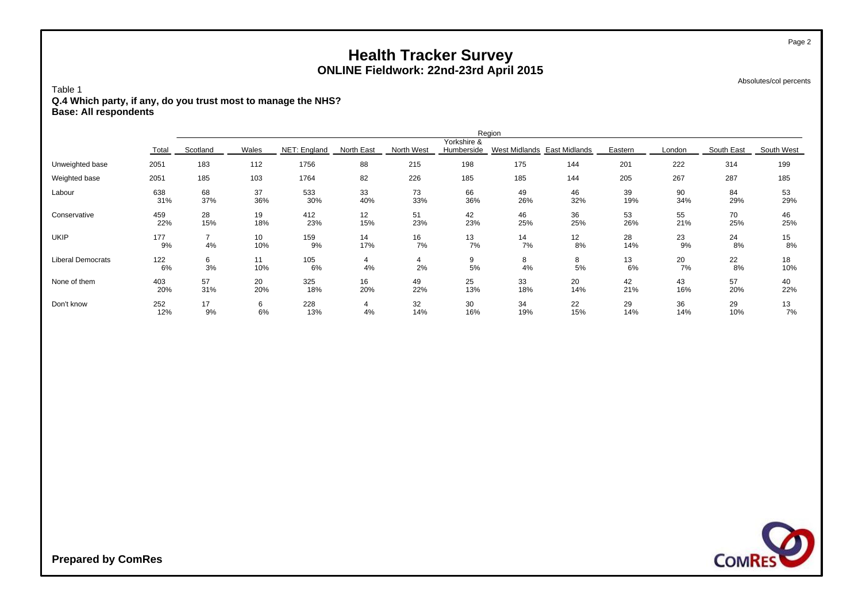Absolutes/col percents

Page 2

#### Table 1 **Q.4 Which party, if any, do you trust most to manage the NHS? Base: All respondents**

|                          | Region     |                      |           |              |            |            |                           |                             |           |           |           |            |            |
|--------------------------|------------|----------------------|-----------|--------------|------------|------------|---------------------------|-----------------------------|-----------|-----------|-----------|------------|------------|
|                          | Total      | Scotland             | Wales     | NET: England | North East | North West | Yorkshire &<br>Humberside | West Midlands East Midlands |           | Eastern   | London    | South East | South West |
| Unweighted base          | 2051       | 183                  | 112       | 1756         | 88         | 215        | 198                       | 175                         | 144       | 201       | 222       | 314        | 199        |
| Weighted base            | 2051       | 185                  | 103       | 1764         | 82         | 226        | 185                       | 185                         | 144       | 205       | 267       | 287        | 185        |
| Labour                   | 638<br>31% | 68<br>37%            | 37<br>36% | 533<br>30%   | 33<br>40%  | 73<br>33%  | 66<br>36%                 | 49<br>26%                   | 46<br>32% | 39<br>19% | 90<br>34% | 84<br>29%  | 53<br>29%  |
| Conservative             | 459<br>22% | 28<br>15%            | 19<br>18% | 412<br>23%   | 12<br>15%  | 51<br>23%  | 42<br>23%                 | 46<br>25%                   | 36<br>25% | 53<br>26% | 55<br>21% | 70<br>25%  | 46<br>25%  |
| <b>UKIP</b>              | 177<br>9%  | $\overline{ }$<br>4% | 10<br>10% | 159<br>9%    | 14<br>17%  | 16<br>7%   | 13<br>7%                  | 14<br>7%                    | 12<br>8%  | 28<br>14% | 23<br>9%  | 24<br>8%   | 15<br>8%   |
| <b>Liberal Democrats</b> | 122<br>6%  | 6<br>3%              | 11<br>10% | 105<br>6%    | 4%         | 4<br>2%    | 9<br>$5\%$                | 8<br>4%                     | 8<br>5%   | 13<br>6%  | 20<br>7%  | 22<br>8%   | 18<br>10%  |
| None of them             | 403<br>20% | 57<br>31%            | 20<br>20% | 325<br>18%   | 16<br>20%  | 49<br>22%  | 25<br>13%                 | 33<br>18%                   | 20<br>14% | 42<br>21% | 43<br>16% | 57<br>20%  | 40<br>22%  |
| Don't know               | 252<br>12% | 17<br>9%             | 6<br>6%   | 228<br>13%   | 4%         | 32<br>14%  | 30<br>16%                 | 34<br>19%                   | 22<br>15% | 29<br>14% | 36<br>14% | 29<br>10%  | 13<br>7%   |

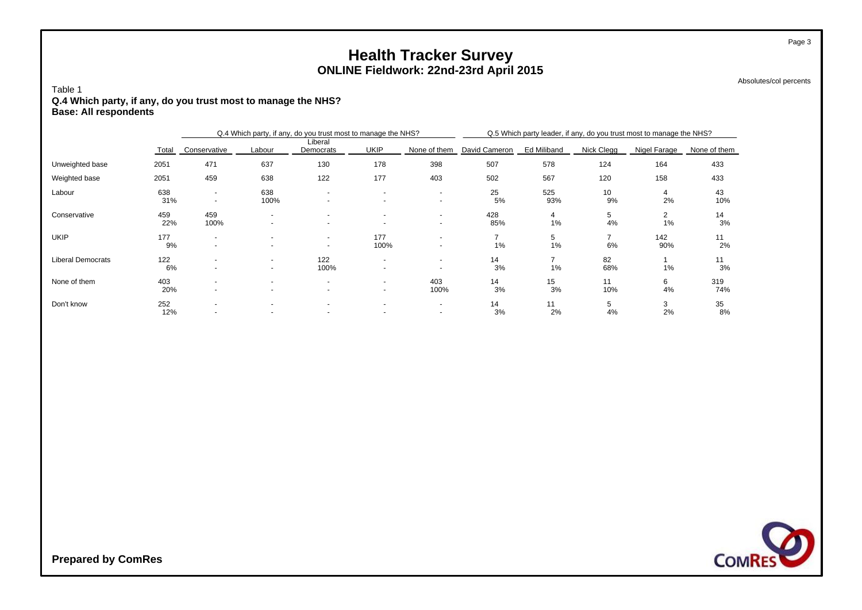Absolutes/col percents

Page 3

#### Table 1 **Q.4 Which party, if any, do you trust most to manage the NHS? Base: All respondents**

|                          |            |                                                      |                                  | Q.4 Which party, if any, do you trust most to manage the NHS? |                                                      |                                                      | Q.5 Which party leader, if any, do you trust most to manage the NHS? |             |            |              |              |  |  |
|--------------------------|------------|------------------------------------------------------|----------------------------------|---------------------------------------------------------------|------------------------------------------------------|------------------------------------------------------|----------------------------------------------------------------------|-------------|------------|--------------|--------------|--|--|
|                          | Total      | Conservative                                         | Labour                           | Liberal<br>Democrats                                          | <b>UKIP</b>                                          | None of them                                         | David Cameron                                                        | Ed Miliband | Nick Clegg | Nigel Farage | None of them |  |  |
| Unweighted base          | 2051       | 471                                                  | 637                              | 130                                                           | 178                                                  | 398                                                  | 507                                                                  | 578         | 124        | 164          | 433          |  |  |
| Weighted base            | 2051       | 459                                                  | 638                              | 122                                                           | 177                                                  | 403                                                  | 502                                                                  | 567         | 120        | 158          | 433          |  |  |
| Labour                   | 638<br>31% | $\sim$<br>$\blacksquare$                             | 638<br>100%                      | $\overline{\phantom{a}}$<br>$\overline{\phantom{a}}$          | $\overline{\phantom{a}}$<br>$\overline{a}$           | $\overline{\phantom{a}}$<br>$\overline{\phantom{a}}$ | 25<br>5%                                                             | 525<br>93%  | 10<br>9%   | 2%           | 43<br>10%    |  |  |
| Conservative             | 459<br>22% | 459<br>100%                                          | ۰<br>$\overline{\phantom{a}}$    | $\overline{\phantom{a}}$<br>$\overline{\phantom{a}}$          | $\overline{\phantom{a}}$<br>$\overline{\phantom{a}}$ | $\overline{\phantom{a}}$<br>$\overline{\phantom{a}}$ | 428<br>85%                                                           | 4<br>1%     | 5<br>4%    | 2<br>1%      | 14<br>3%     |  |  |
| <b>UKIP</b>              | 177<br>9%  | $\overline{\phantom{a}}$<br>$\overline{\phantom{a}}$ |                                  | $\overline{\phantom{a}}$<br>$\overline{\phantom{a}}$          | 177<br>100%                                          | $\overline{\phantom{a}}$                             | 1%                                                                   | 5<br>1%     | 6%         | 142<br>90%   | 11<br>2%     |  |  |
| <b>Liberal Democrats</b> | 122<br>6%  | $\overline{\phantom{a}}$                             | $\blacksquare$<br>$\blacksquare$ | 122<br>100%                                                   | $\overline{\phantom{a}}$<br>$\overline{\phantom{a}}$ | $\overline{\phantom{a}}$                             | 14<br>3%                                                             | 1%          | 82<br>68%  | $1\%$        | 11<br>3%     |  |  |
| None of them             | 403<br>20% | $\overline{\phantom{a}}$<br>$\overline{\phantom{a}}$ | ۰<br>$\overline{\phantom{a}}$    | $\overline{\phantom{a}}$<br>$\overline{\phantom{a}}$          | $\overline{\phantom{a}}$<br>$\sim$                   | 403<br>100%                                          | 14<br>3%                                                             | 15<br>3%    | 11<br>10%  | 6<br>4%      | 319<br>74%   |  |  |
| Don't know               | 252<br>12% | $\overline{\phantom{a}}$<br>$\overline{\phantom{a}}$ | $\overline{\phantom{a}}$         | $\overline{\phantom{a}}$                                      | $\overline{\phantom{a}}$<br>$\overline{\phantom{a}}$ | $\overline{\phantom{a}}$<br>$\overline{\phantom{a}}$ | 14<br>3%                                                             | 11<br>2%    | 5<br>4%    | 3<br>2%      | 35<br>8%     |  |  |

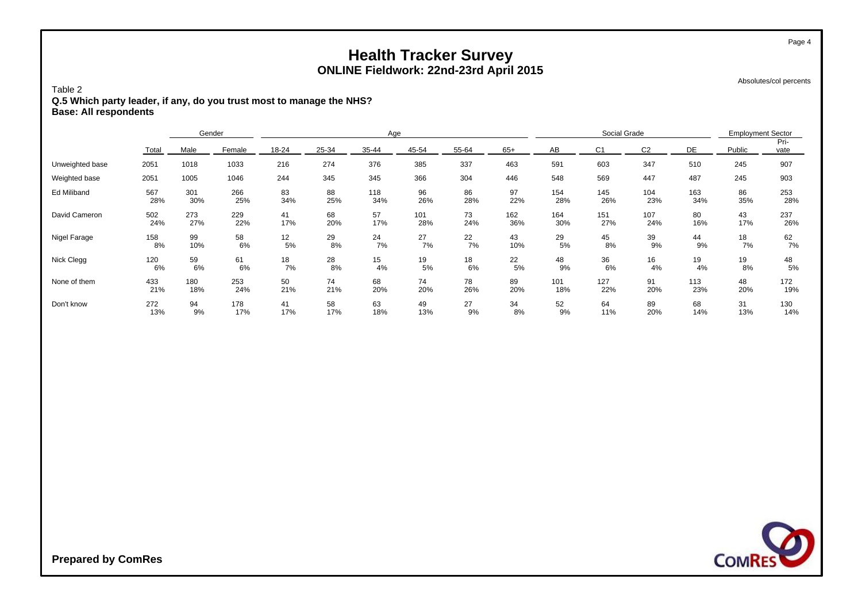Absolutes/col percents

Page 4

#### Table 2 **Q.5 Which party leader, if any, do you trust most to manage the NHS? Base: All respondents**

|                 |       | Gender |        |       | Age   |       |       |       |       |     | Social Grade   |                |     |        | <b>Employment Sector</b> |  |
|-----------------|-------|--------|--------|-------|-------|-------|-------|-------|-------|-----|----------------|----------------|-----|--------|--------------------------|--|
|                 | Total | Male   | Female | 18-24 | 25-34 | 35-44 | 45-54 | 55-64 | $65+$ | AB  | C <sub>1</sub> | C <sub>2</sub> | DE  | Public | Pri-<br>vate             |  |
| Unweighted base | 2051  | 1018   | 1033   | 216   | 274   | 376   | 385   | 337   | 463   | 591 | 603            | 347            | 510 | 245    | 907                      |  |
| Weighted base   | 2051  | 1005   | 1046   | 244   | 345   | 345   | 366   | 304   | 446   | 548 | 569            | 447            | 487 | 245    | 903                      |  |
| Ed Miliband     | 567   | 301    | 266    | 83    | 88    | 118   | 96    | 86    | 97    | 154 | 145            | 104            | 163 | 86     | 253                      |  |
|                 | 28%   | 30%    | 25%    | 34%   | 25%   | 34%   | 26%   | 28%   | 22%   | 28% | 26%            | 23%            | 34% | 35%    | 28%                      |  |
| David Cameron   | 502   | 273    | 229    | 41    | 68    | 57    | 101   | 73    | 162   | 164 | 151            | 107            | 80  | 43     | 237                      |  |
|                 | 24%   | 27%    | 22%    | 17%   | 20%   | 17%   | 28%   | 24%   | 36%   | 30% | 27%            | 24%            | 16% | 17%    | 26%                      |  |
| Nigel Farage    | 158   | 99     | 58     | 12    | 29    | 24    | 27    | 22    | 43    | 29  | 45             | 39             | 44  | 18     | 62                       |  |
|                 | 8%    | 10%    | 6%     | 5%    | 8%    | 7%    | 7%    | 7%    | 10%   | 5%  | 8%             | 9%             | 9%  | 7%     | 7%                       |  |
| Nick Clegg      | 120   | 59     | 61     | 18    | 28    | 15    | 19    | 18    | 22    | 48  | 36             | 16             | 19  | 19     | 48                       |  |
|                 | 6%    | 6%     | 6%     | 7%    | 8%    | 4%    | 5%    | 6%    | 5%    | 9%  | 6%             | 4%             | 4%  | 8%     | 5%                       |  |
| None of them    | 433   | 180    | 253    | 50    | 74    | 68    | 74    | 78    | 89    | 101 | 127            | 91             | 113 | 48     | 172                      |  |
|                 | 21%   | 18%    | 24%    | 21%   | 21%   | 20%   | 20%   | 26%   | 20%   | 18% | 22%            | 20%            | 23% | 20%    | 19%                      |  |
| Don't know      | 272   | 94     | 178    | 41    | 58    | 63    | 49    | 27    | 34    | 52  | 64             | 89             | 68  | 31     | 130                      |  |
|                 | 13%   | 9%     | 17%    | 17%   | 17%   | 18%   | 13%   | 9%    | 8%    | 9%  | 11%            | 20%            | 14% | 13%    | 14%                      |  |

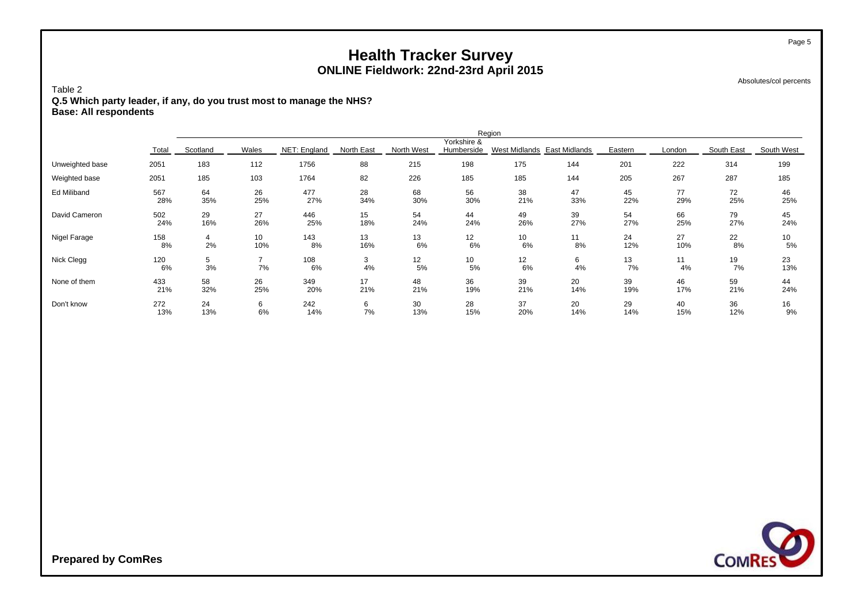Absolutes/col percents

Page 5

#### Table 2 **Q.5 Which party leader, if any, do you trust most to manage the NHS? Base: All respondents**

|                 | Region    |                |       |              |            |            |                           |                             |         |          |          |            |            |
|-----------------|-----------|----------------|-------|--------------|------------|------------|---------------------------|-----------------------------|---------|----------|----------|------------|------------|
|                 | Total     | Scotland       | Wales | NET: England | North East | North West | Yorkshire &<br>Humberside | West Midlands East Midlands |         | Eastern  | London   | South East | South West |
| Unweighted base | 2051      | 183            | 112   | 1756         | 88         | 215        | 198                       | 175                         | 144     | 201      | 222      | 314        | 199        |
| Weighted base   | 2051      | 185            | 103   | 1764         | 82         | 226        | 185                       | 185                         | 144     | 205      | 267      | 287        | 185        |
| Ed Miliband     | 567       | 64             | 26    | 477          | 28         | 68         | 56                        | 38                          | 47      | 45       | 77       | 72         | 46         |
|                 | 28%       | 35%            | 25%   | 27%          | 34%        | 30%        | 30%                       | 21%                         | 33%     | 22%      | 29%      | 25%        | 25%        |
| David Cameron   | 502       | 29             | 27    | 446          | 15         | 54         | 44                        | 49                          | 39      | 54       | 66       | 79         | 45         |
|                 | 24%       | 16%            | 26%   | 25%          | 18%        | 24%        | 24%                       | 26%                         | 27%     | 27%      | 25%      | 27%        | 24%        |
| Nigel Farage    | 158       | $\overline{4}$ | 10    | 143          | 13         | 13         | 12                        | 10                          | 11      | 24       | 27       | 22         | 10         |
|                 | 8%        | 2%             | 10%   | 8%           | 16%        | 6%         | 6%                        | 6%                          | 8%      | 12%      | 10%      | 8%         | 5%         |
| Nick Clegg      | 120<br>6% | 5<br>3%        | 7%    | 108<br>6%    | 3<br>4%    | 12<br>5%   | 10<br>5%                  | 12<br>6%                    | 6<br>4% | 13<br>7% | 11<br>4% | 19<br>7%   | 23<br>13%  |
| None of them    | 433       | 58             | 26    | 349          | 17         | 48         | 36                        | 39                          | 20      | 39       | 46       | 59         | 44         |
|                 | 21%       | 32%            | 25%   | 20%          | 21%        | 21%        | 19%                       | 21%                         | 14%     | 19%      | 17%      | 21%        | 24%        |
| Don't know      | 272       | 24             | 6     | 242          | 6          | 30         | 28                        | 37                          | 20      | 29       | 40       | 36         | 16         |
|                 | 13%       | 13%            | 6%    | 14%          | 7%         | 13%        | 15%                       | 20%                         | 14%     | 14%      | 15%      | 12%        | 9%         |